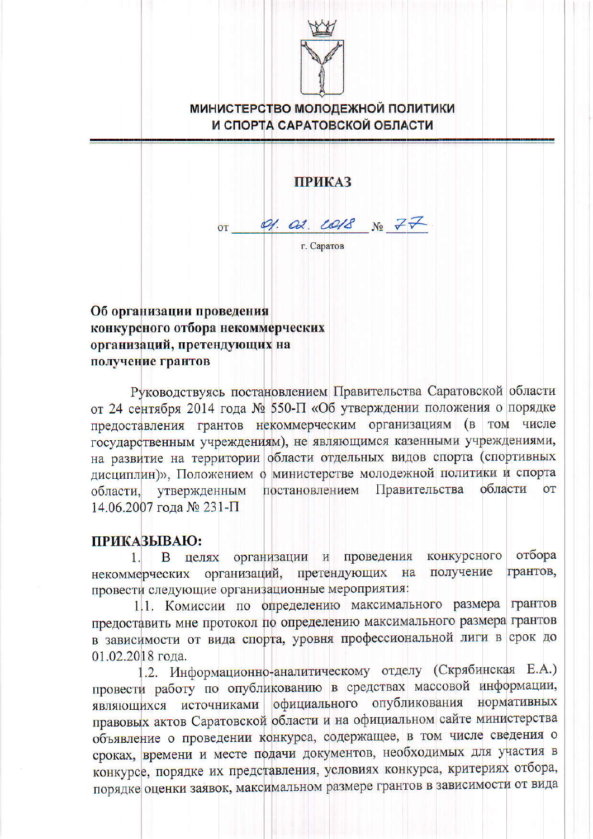

## **МИНИСТЕРСТВО МОЛОДЕЖНОЙ ПОЛИТИКИ** И СПОРТА САРАТОВСКОЙ ОБЛАСТИ

**ПРИКАЗ** 

 $Q$ ,  $Qd$ ,  $LQ/dS$   $N_2$   $77$  $0<sup>T</sup>$ г. Саратов

## Об организации проведения конкурсного отбора некоммерческих организаций, претендующих на получение грантов

Руководствуясь постановлением Правительства Саратовской области от 24 сентября 2014 года № 550-П «Об утверждении положения о порядке предоставления грантов некоммерческим организациям (в том числе государственным учреждениям), не являющимся казенными учреждениями, на развитие на территории области отдельных видов спорта (спортивных дисциплин)», Положением о министерстве молодежной политики и спорта Правительства постановлением области  $\overline{OT}$ области. утвержденным 14.06.2007 года № 231-П

## ПРИКАЗЫВАЮ:

отбора конкурсного организации и проведения 11 В целях некоммерческих организаций, претендующих на грантов, получение провести следующие организационные мероприятия:

1.1. Комиссии по определению максимального размера грантов предоставить мне протокол по определению максимального размера грантов в зависимости от вида спорта, уровня профессиональной лиги в срок до 01.02.2018 года.

1.2. Информационно-аналитическому отделу (Скрябинская Е.А.) провести работу по опубликованию в средствах массовой информации, являющихся источниками официального опубликования нормативных правовых актов Саратовской области и на официальном сайте министерства объявление о проведении конкурса, содержащее, в том числе сведения о сроках, времени и месте подачи документов, необходимых для участия в конкурсе, порядке их представления, условиях конкурса, критериях отбора, порядке оценки заявок, максимальном размере грантов в зависимости от вида